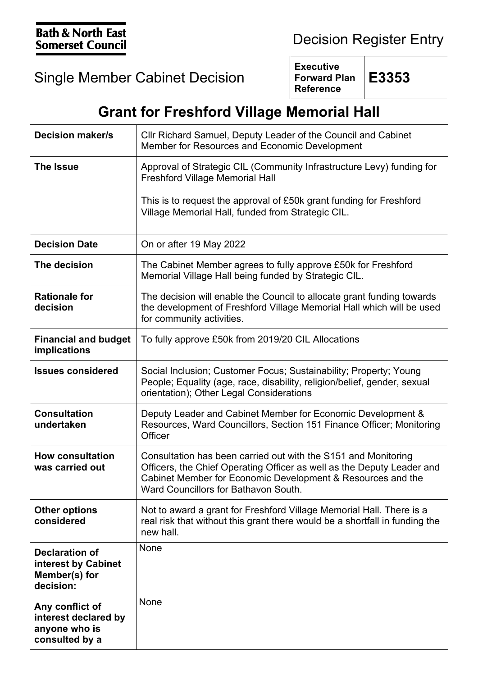## Single Member Cabinet Decision

**Executive Forward Plan Reference**

**E3353**

## **Grant for Freshford Village Memorial Hall**

| <b>Decision maker/s</b>                                                    | Cllr Richard Samuel, Deputy Leader of the Council and Cabinet<br>Member for Resources and Economic Development                                                                                                                                  |
|----------------------------------------------------------------------------|-------------------------------------------------------------------------------------------------------------------------------------------------------------------------------------------------------------------------------------------------|
| <b>The Issue</b>                                                           | Approval of Strategic CIL (Community Infrastructure Levy) funding for<br><b>Freshford Village Memorial Hall</b>                                                                                                                                 |
|                                                                            | This is to request the approval of £50k grant funding for Freshford<br>Village Memorial Hall, funded from Strategic CIL.                                                                                                                        |
| <b>Decision Date</b>                                                       | On or after 19 May 2022                                                                                                                                                                                                                         |
| The decision                                                               | The Cabinet Member agrees to fully approve £50k for Freshford<br>Memorial Village Hall being funded by Strategic CIL.                                                                                                                           |
| <b>Rationale for</b><br>decision                                           | The decision will enable the Council to allocate grant funding towards<br>the development of Freshford Village Memorial Hall which will be used<br>for community activities.                                                                    |
| <b>Financial and budget</b><br>implications                                | To fully approve £50k from 2019/20 CIL Allocations                                                                                                                                                                                              |
| <b>Issues considered</b>                                                   | Social Inclusion; Customer Focus; Sustainability; Property; Young<br>People; Equality (age, race, disability, religion/belief, gender, sexual<br>orientation); Other Legal Considerations                                                       |
| <b>Consultation</b><br>undertaken                                          | Deputy Leader and Cabinet Member for Economic Development &<br>Resources, Ward Councillors, Section 151 Finance Officer; Monitoring<br>Officer                                                                                                  |
| <b>How consultation</b><br>was carried out                                 | Consultation has been carried out with the S151 and Monitoring<br>Officers, the Chief Operating Officer as well as the Deputy Leader and<br>Cabinet Member for Economic Development & Resources and the<br>Ward Councillors for Bathavon South. |
| <b>Other options</b><br>considered                                         | Not to award a grant for Freshford Village Memorial Hall. There is a<br>real risk that without this grant there would be a shortfall in funding the<br>new hall.                                                                                |
| <b>Declaration of</b><br>interest by Cabinet<br>Member(s) for<br>decision: | None                                                                                                                                                                                                                                            |
| Any conflict of<br>interest declared by<br>anyone who is<br>consulted by a | None                                                                                                                                                                                                                                            |